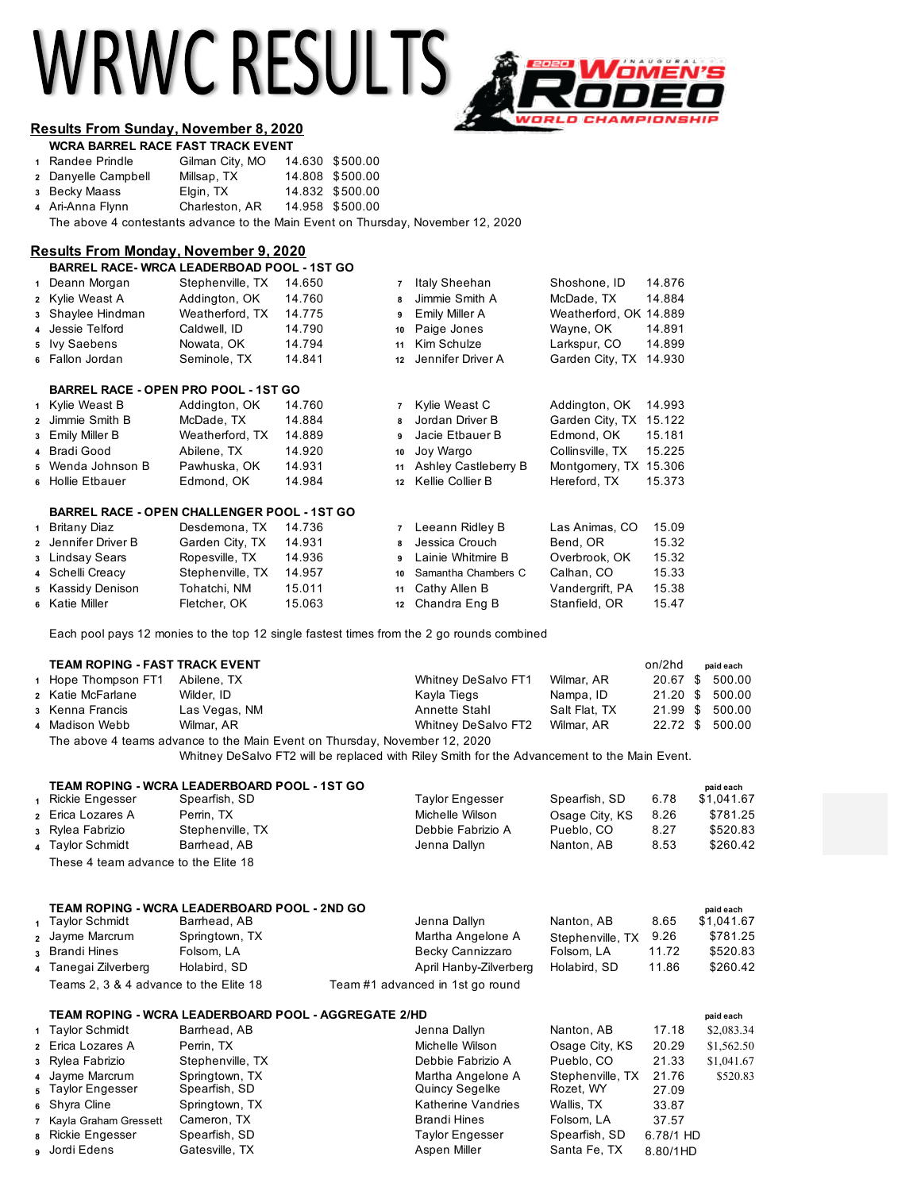# WRWC RESULTS



# **Results From Sunday, November 8, 2020**

| <b>WCRA BARREL RACE FAST TRACK EVENT</b> |                 |  |                 |  |  |  |  |
|------------------------------------------|-----------------|--|-----------------|--|--|--|--|
| 1 Randee Prindle                         | Gilman City, MO |  | 14.630 \$500.00 |  |  |  |  |
| 2 Danyelle Campbell                      | Millsap, TX     |  | 14.808 \$500.00 |  |  |  |  |
| 3 Becky Maass                            | Elgin, TX       |  | 14.832 \$500.00 |  |  |  |  |
| 4 Ari-Anna Flynn                         | Charleston, AR  |  | 14.958 \$500.00 |  |  |  |  |

The above 4 contestants advance to the Main Event on Thursday, November 12, 2020

# **Results From Monday, November 9, 2020**

| <b>BARREL RACE-WRCA LEADERBOAD POOL - 1ST GO</b>   |                  |        |                |                      |                        |        |
|----------------------------------------------------|------------------|--------|----------------|----------------------|------------------------|--------|
| 1 Deann Morgan                                     | Stephenville, TX | 14.650 | $\overline{7}$ | Italy Sheehan        | Shoshone, ID           | 14.876 |
| 2 Kylie Weast A                                    | Addington, OK    | 14.760 | 8              | Jimmie Smith A       | McDade, TX             | 14.884 |
| 3 Shaylee Hindman                                  | Weatherford, TX  | 14.775 | 9              | Emily Miller A       | Weatherford, OK 14.889 |        |
| 4 Jessie Telford                                   | Caldwell, ID     | 14.790 | 10             | Paige Jones          | Wayne, OK              | 14.891 |
| 5 Ivy Saebens                                      | Nowata, OK       | 14.794 | 11             | Kim Schulze          | Larkspur, CO           | 14.899 |
| 6 Fallon Jordan                                    | Seminole, TX     | 14.841 | 12             | Jennifer Driver A    | Garden City, TX        | 14.930 |
| <b>BARREL RACE - OPEN PRO POOL - 1ST GO</b>        |                  |        |                |                      |                        |        |
| 1 Kylie Weast B                                    | Addington, OK    | 14.760 | $\overline{7}$ | Kylie Weast C        | Addington, OK          | 14.993 |
| 2 Jimmie Smith B                                   | McDade, TX       | 14.884 | 8              | Jordan Driver B      | Garden City, TX        | 15.122 |
| 3 Emily Miller B                                   | Weatherford, TX  | 14.889 | 9              | Jacie Etbauer B      | Edmond, OK             | 15.181 |
| 4 Bradi Good                                       | Abilene, TX      | 14.920 | 10             | Joy Wargo            | Collinsville, TX       | 15.225 |
| 5 Wenda Johnson B                                  | Pawhuska, OK     | 14.931 | 11             | Ashley Castleberry B | Montgomery, TX         | 15.306 |
| 6 Hollie Etbauer                                   | Edmond, OK       | 14.984 | 12             | Kellie Collier B     | Hereford, TX           | 15.373 |
| <b>BARREL RACE - OPEN CHALLENGER POOL - 1ST GO</b> |                  |        |                |                      |                        |        |
| 1 Britany Diaz                                     | Desdemona, TX    | 14.736 | $\overline{7}$ | Leeann Ridley B      | Las Animas, CO         | 15.09  |
| 2 Jennifer Driver B                                | Garden City, TX  | 14.931 | 8              | Jessica Crouch       | Bend, OR               | 15.32  |
| 3 Lindsay Sears                                    | Ropesville, TX   | 14.936 | 9              | Lainie Whitmire B    | Overbrook, OK          | 15.32  |
| 4 Schelli Creacy                                   | Stephenville, TX | 14.957 | 10             | Samantha Chambers C  | Calhan, CO             | 15.33  |
| 5 Kassidy Denison                                  | Tohatchi, NM     | 15.011 | 11             | Cathy Allen B        | Vandergrift, PA        | 15.38  |

Katie Miller Fletcher, OK 15.063 **12** Chandra Eng B Stanfield, OR 15.47

Each pool pays 12 monies to the top 12 single fastest times from the 2 go rounds combined

### **TEAM ROPING - FAST TRACK EVENT only and the set of the set of the set of the set of the set of the set of the set of the set of the set of the set of the set of the set of the set of the set of the set of the set of the**

| 1 Hope Thompson FT1                                                        | Abilene, TX   | <b>Whitney DeSalvo FT1</b> | Wilmar, AR    |  |  | 20.67 \$ 500.00 |
|----------------------------------------------------------------------------|---------------|----------------------------|---------------|--|--|-----------------|
| 2 Katie McFarlane                                                          | Wilder, ID    | Kayla Tiegs                | Nampa, ID     |  |  | 21.20 \$ 500.00 |
| ง Kenna Francis                                                            | Las Vegas, NM | Annette Stahl              | Salt Flat. TX |  |  | 21.99 \$ 500.00 |
| 4 Madison Webb                                                             | Wilmar, AR    | Whitney DeSalvo FT2        | Wilmar, AR    |  |  | 22.72 \$ 500.00 |
| The above 4 teams advance to the Main Event on Thursday, November 12, 2020 |               |                            |               |  |  |                 |

Whitney DeSalvo FT2 will be replaced with Riley Smith for the Advancement to the Main Event.

|                                      |                          | TEAM ROPING - WCRA LEADERBOARD POOL - 1ST GO |                        |                |      | paid each  |
|--------------------------------------|--------------------------|----------------------------------------------|------------------------|----------------|------|------------|
|                                      | Rickie Engesser          | Spearfish, SD                                | <b>Taylor Engesser</b> | Spearfish, SD  | 6.78 | \$1.041.67 |
|                                      | <b>2</b> Erica Lozares A | Perrin, TX                                   | Michelle Wilson        | Osage City, KS | 8.26 | \$781.25   |
|                                      | 3 Rylea Fabrizio         | Stephenville, TX                             | Debbie Fabrizio A      | Pueblo, CO     | 8.27 | \$520.83   |
|                                      | 4 Taylor Schmidt         | Barrhead, AB                                 | Jenna Dallyn           | Nanton, AB     | 8.53 | \$260.42   |
| These 4 team advance to the Elite 18 |                          |                                              |                        |                |      |            |

|                                        | TEAM ROPING - WCRA LEADERBOARD POOL - 2ND GO |                                  |                  |       | paid each  |
|----------------------------------------|----------------------------------------------|----------------------------------|------------------|-------|------------|
| 1 Taylor Schmidt                       | Barrhead, AB                                 | Jenna Dallyn                     | Nanton, AB       | 8.65  | \$1.041.67 |
| 2 Jayme Marcrum                        | Springtown, TX                               | Martha Angelone A                | Stephenville, TX | 9.26  | \$781.25   |
| 3 Brandi Hines                         | Folsom, LA                                   | Becky Cannizzaro                 | Folsom, LA       | 11.72 | \$520.83   |
| 4 Tanegai Zilverberg                   | Holabird, SD                                 | April Hanby-Zilverberg           | Holabird, SD     | 11.86 | \$260.42   |
| Teams 2, 3 & 4 advance to the Elite 18 |                                              | Team #1 advanced in 1st go round |                  |       |            |

## **TEAM ROPING - WCRA LEADERBOARD POOL - AGGREGATE 2/HD paid each**

| 1 Taylor Schmidt        | Barrhead, AB     | Jenna Dallyn       | Nanton, AB       | 17.18     | \$2,083.34 |
|-------------------------|------------------|--------------------|------------------|-----------|------------|
| 2 Erica Lozares A       | Perrin, TX       | Michelle Wilson    | Osage City, KS   | 20.29     | \$1,562.50 |
| 3 Rylea Fabrizio        | Stephenville, TX | Debbie Fabrizio A  | Pueblo, CO       | 21.33     | \$1,041.67 |
| 4 Jayme Marcrum         | Springtown, TX   | Martha Angelone A  | Stephenville, TX | 21.76     | \$520.83   |
| 5 Taylor Engesser       | Spearfish, SD    | Quincy Segelke     | Rozet, WY        | 27.09     |            |
| 6 Shyra Cline           | Springtown, TX   | Katherine Vandries | Wallis, TX       | 33.87     |            |
| 7 Kayla Graham Gressett | Cameron, TX      | Brandi Hines       | Folsom, LA       | 37.57     |            |
| 8 Rickie Engesser       | Spearfish, SD    | Taylor Engesser    | Spearfish, SD    | 6.78/1 HD |            |
| a Jordi Edens           | Gatesville, TX   | Aspen Miller       | Santa Fe, TX     | 8.80/1HD  |            |